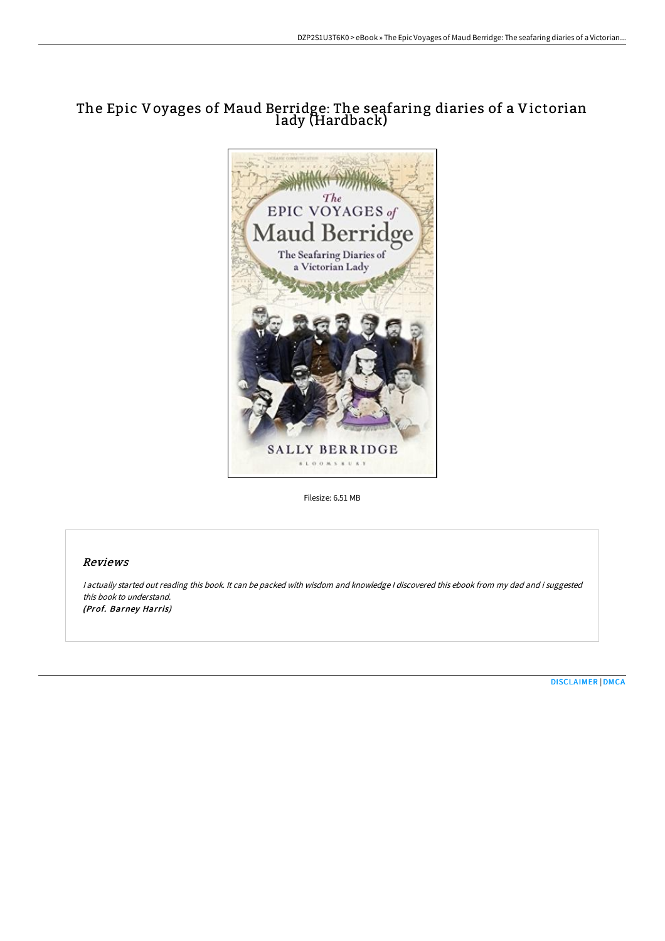# The Epic Voyages of Maud Berridge: The seafaring diaries of a Victorian lady (Hardback)



Filesize: 6.51 MB

## Reviews

<sup>I</sup> actually started out reading this book. It can be packed with wisdom and knowledge <sup>I</sup> discovered this ebook from my dad and i suggested this book to understand. (Prof. Barney Harris)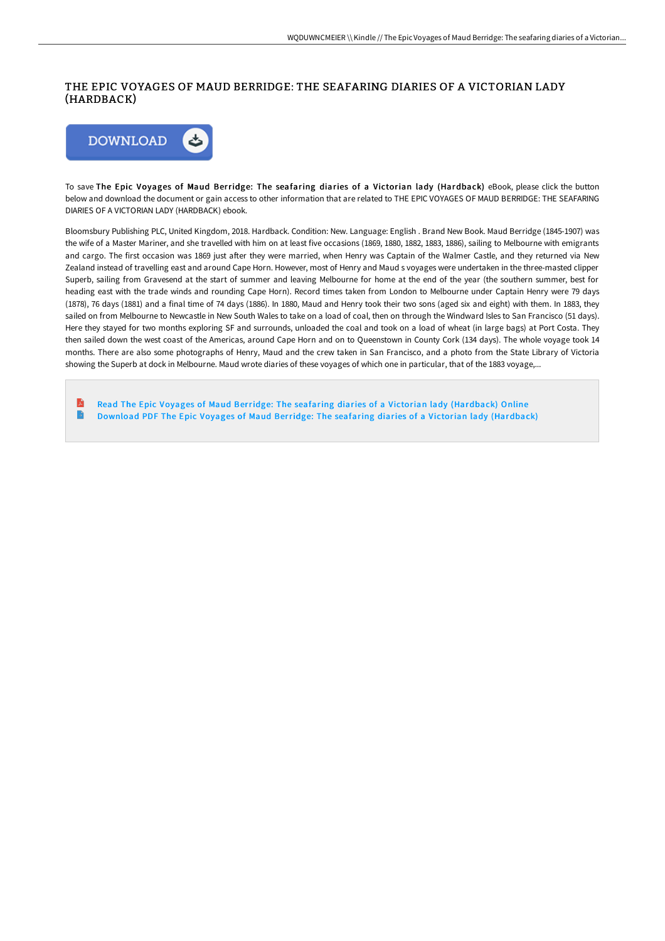## THE EPIC VOYAGES OF MAUD BERRIDGE: THE SEAFARING DIARIES OF A VICTORIAN LADY (HARDBACK)



To save The Epic Voyages of Maud Berridge: The seafaring diaries of a Victorian lady (Hardback) eBook, please click the button below and download the document or gain access to other information that are related to THE EPIC VOYAGES OF MAUD BERRIDGE: THE SEAFARING DIARIES OF A VICTORIAN LADY (HARDBACK) ebook.

Bloomsbury Publishing PLC, United Kingdom, 2018. Hardback. Condition: New. Language: English . Brand New Book. Maud Berridge (1845-1907) was the wife of a Master Mariner, and she travelled with him on at least five occasions (1869, 1880, 1882, 1883, 1886), sailing to Melbourne with emigrants and cargo. The first occasion was 1869 just after they were married, when Henry was Captain of the Walmer Castle, and they returned via New Zealand instead of travelling east and around Cape Horn. However, most of Henry and Maud s voyages were undertaken in the three-masted clipper Superb, sailing from Gravesend at the start of summer and leaving Melbourne for home at the end of the year (the southern summer, best for heading east with the trade winds and rounding Cape Horn). Record times taken from London to Melbourne under Captain Henry were 79 days (1878), 76 days (1881) and a final time of 74 days (1886). In 1880, Maud and Henry took their two sons (aged six and eight) with them. In 1883, they sailed on from Melbourne to Newcastle in New South Wales to take on a load of coal, then on through the Windward Isles to San Francisco (51 days). Here they stayed for two months exploring SF and surrounds, unloaded the coal and took on a load of wheat (in large bags) at Port Costa. They then sailed down the west coast of the Americas, around Cape Horn and on to Queenstown in County Cork (134 days). The whole voyage took 14 months. There are also some photographs of Henry, Maud and the crew taken in San Francisco, and a photo from the State Library of Victoria showing the Superb at dock in Melbourne. Maud wrote diaries of these voyages of which one in particular, that of the 1883 voyage,...

E Read The Epic Voyages of Maud Berridge: The seafaring diaries of a Victorian lady [\(Hardback\)](http://albedo.media/the-epic-voyages-of-maud-berridge-the-seafaring-.html) Online  $\blacktriangleright$ Download PDF The Epic Voyages of Maud Berridge: The seafaring diaries of a Victorian lady [\(Hardback\)](http://albedo.media/the-epic-voyages-of-maud-berridge-the-seafaring-.html)